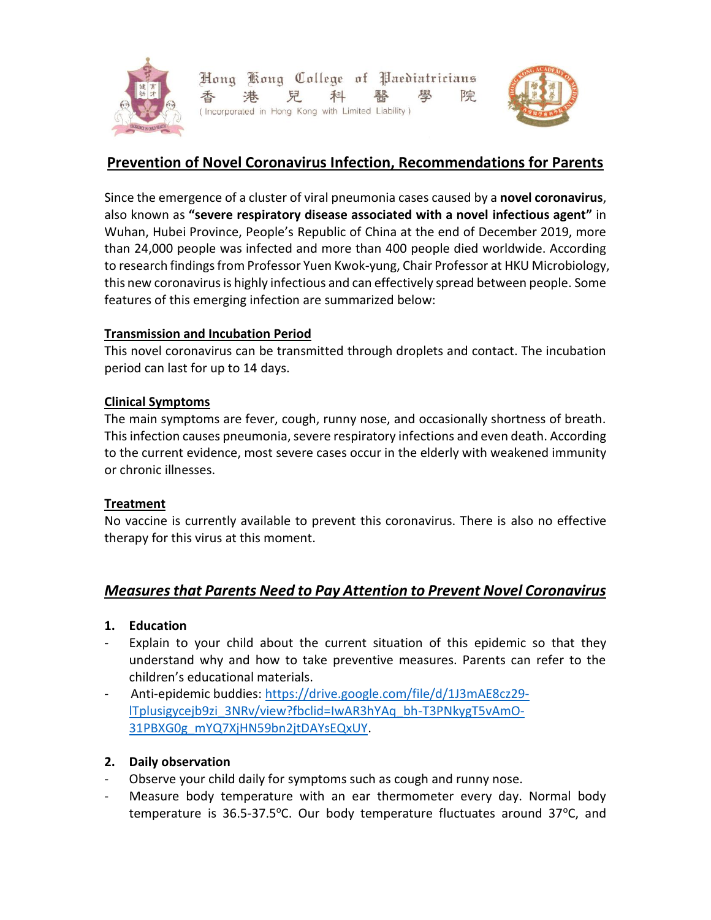

Hong Kong College of Paediatricians 兒 科 院 港 (Incorporated in Hong Kong with Limited Liability)



# **Prevention of Novel Coronavirus Infection, Recommendations for Parents**

Since the emergence of a cluster of viral pneumonia cases caused by a **novel coronavirus**, also known as **"severe respiratory disease associated with a novel infectious agent"** in Wuhan, Hubei Province, People's Republic of China at the end of December 2019, more than 24,000 people was infected and more than 400 people died worldwide. According to research findings from Professor Yuen Kwok-yung, Chair Professor at HKU Microbiology, this new coronavirus is highly infectious and can effectively spread between people. Some features of this emerging infection are summarized below:

### **Transmission and Incubation Period**

This novel coronavirus can be transmitted through droplets and contact. The incubation period can last for up to 14 days.

## **Clinical Symptoms**

The main symptoms are fever, cough, runny nose, and occasionally shortness of breath. This infection causes pneumonia, severe respiratory infections and even death. According to the current evidence, most severe cases occur in the elderly with weakened immunity or chronic illnesses.

### **Treatment**

No vaccine is currently available to prevent this coronavirus. There is also no effective therapy for this virus at this moment.

## *Measures that Parents Need to Pay Attention to Prevent Novel Coronavirus*

### **1. Education**

- Explain to your child about the current situation of this epidemic so that they understand why and how to take preventive measures. Parents can refer to the children's educational materials.
- Anti-epidemic buddies: [https://drive.google.com/file/d/1J3mAE8cz29](https://drive.google.com/file/d/1J3mAE8cz29-lTplusigycejb9zi_3NRv/view?fbclid=IwAR3hYAq_bh-T3PNkygT5vAmO-31PBXG0g_mYQ7XjHN59bn2jtDAYsEQxUY) [lTplusigycejb9zi\\_3NRv/view?fbclid=IwAR3hYAq\\_bh-T3PNkygT5vAmO-](https://drive.google.com/file/d/1J3mAE8cz29-lTplusigycejb9zi_3NRv/view?fbclid=IwAR3hYAq_bh-T3PNkygT5vAmO-31PBXG0g_mYQ7XjHN59bn2jtDAYsEQxUY)[31PBXG0g\\_mYQ7XjHN59bn2jtDAYsEQxUY.](https://drive.google.com/file/d/1J3mAE8cz29-lTplusigycejb9zi_3NRv/view?fbclid=IwAR3hYAq_bh-T3PNkygT5vAmO-31PBXG0g_mYQ7XjHN59bn2jtDAYsEQxUY)

## **2. Daily observation**

- Observe your child daily for symptoms such as cough and runny nose.
- Measure body temperature with an ear thermometer every day. Normal body temperature is  $36.5-37.5$ °C. Our body temperature fluctuates around  $37$ °C, and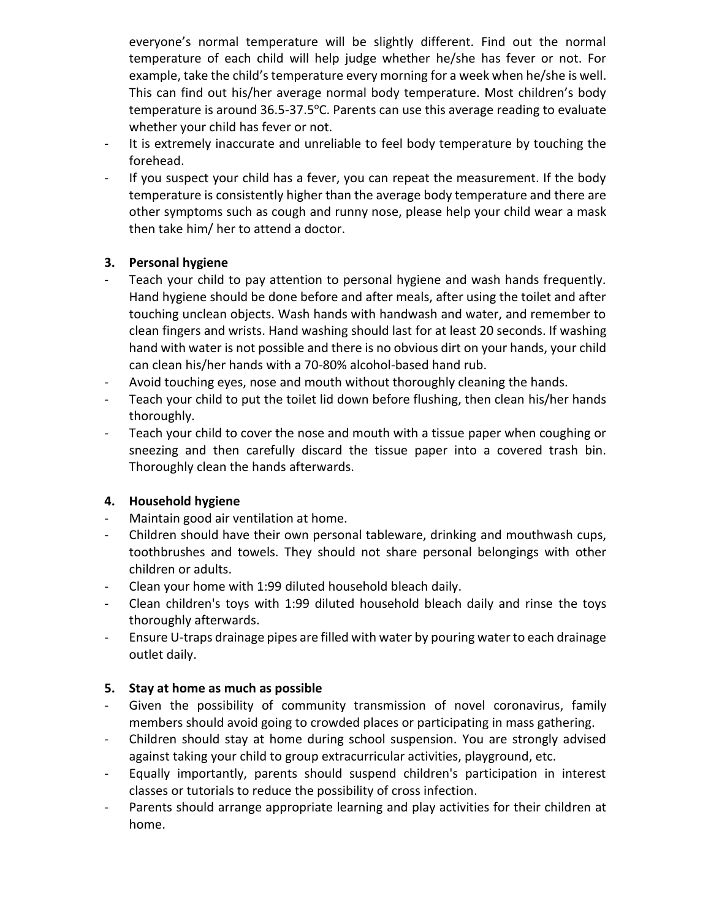everyone's normal temperature will be slightly different. Find out the normal temperature of each child will help judge whether he/she has fever or not. For example, take the child's temperature every morning for a week when he/she is well. This can find out his/her average normal body temperature. Most children's body temperature is around 36.5-37.5°C. Parents can use this average reading to evaluate whether your child has fever or not.

- It is extremely inaccurate and unreliable to feel body temperature by touching the forehead.
- If you suspect your child has a fever, you can repeat the measurement. If the body temperature is consistently higher than the average body temperature and there are other symptoms such as cough and runny nose, please help your child wear a mask then take him/ her to attend a doctor.

### **3. Personal hygiene**

- Teach your child to pay attention to personal hygiene and wash hands frequently. Hand hygiene should be done before and after meals, after using the toilet and after touching unclean objects. Wash hands with handwash and water, and remember to clean fingers and wrists. Hand washing should last for at least 20 seconds. If washing hand with water is not possible and there is no obvious dirt on your hands, your child can clean his/her hands with a 70-80% alcohol-based hand rub.
- Avoid touching eyes, nose and mouth without thoroughly cleaning the hands.
- Teach your child to put the toilet lid down before flushing, then clean his/her hands thoroughly.
- Teach your child to cover the nose and mouth with a tissue paper when coughing or sneezing and then carefully discard the tissue paper into a covered trash bin. Thoroughly clean the hands afterwards.

## **4. Household hygiene**

- Maintain good air ventilation at home.
- Children should have their own personal tableware, drinking and mouthwash cups, toothbrushes and towels. They should not share personal belongings with other children or adults.
- Clean your home with 1:99 diluted household bleach daily.
- Clean children's toys with 1:99 diluted household bleach daily and rinse the toys thoroughly afterwards.
- Ensure U-traps drainage pipes are filled with water by pouring water to each drainage outlet daily.

### **5. Stay at home as much as possible**

- Given the possibility of community transmission of novel coronavirus, family members should avoid going to crowded places or participating in mass gathering.
- Children should stay at home during school suspension. You are strongly advised against taking your child to group extracurricular activities, playground, etc.
- Equally importantly, parents should suspend children's participation in interest classes or tutorials to reduce the possibility of cross infection.
- Parents should arrange appropriate learning and play activities for their children at home.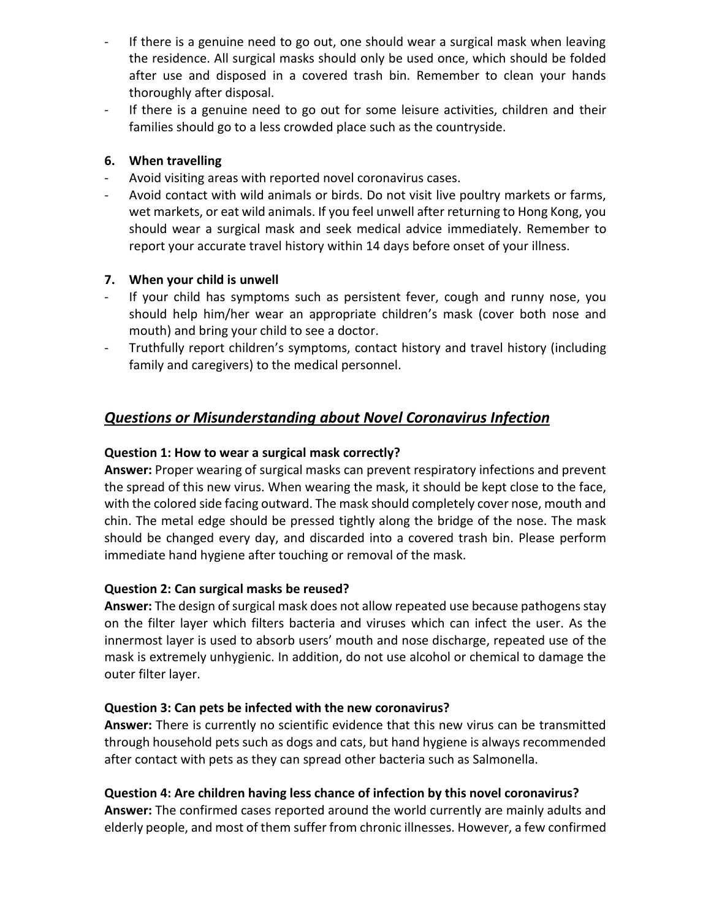- If there is a genuine need to go out, one should wear a surgical mask when leaving the residence. All surgical masks should only be used once, which should be folded after use and disposed in a covered trash bin. Remember to clean your hands thoroughly after disposal.
- If there is a genuine need to go out for some leisure activities, children and their families should go to a less crowded place such as the countryside.

### **6. When travelling**

- Avoid visiting areas with reported novel coronavirus cases.
- Avoid contact with wild animals or birds. Do not visit live poultry markets or farms, wet markets, or eat wild animals. If you feel unwell after returning to Hong Kong, you should wear a surgical mask and seek medical advice immediately. Remember to report your accurate travel history within 14 days before onset of your illness.

### **7. When your child is unwell**

- If your child has symptoms such as persistent fever, cough and runny nose, you should help him/her wear an appropriate children's mask (cover both nose and mouth) and bring your child to see a doctor.
- Truthfully report children's symptoms, contact history and travel history (including family and caregivers) to the medical personnel.

# *Questions or Misunderstanding about Novel Coronavirus Infection*

### **Question 1: How to wear a surgical mask correctly?**

**Answer:** Proper wearing of surgical masks can prevent respiratory infections and prevent the spread of this new virus. When wearing the mask, it should be kept close to the face, with the colored side facing outward. The mask should completely cover nose, mouth and chin. The metal edge should be pressed tightly along the bridge of the nose. The mask should be changed every day, and discarded into a covered trash bin. Please perform immediate hand hygiene after touching or removal of the mask.

### **Question 2: Can surgical masks be reused?**

**Answer:** The design of surgical mask does not allow repeated use because pathogens stay on the filter layer which filters bacteria and viruses which can infect the user. As the innermost layer is used to absorb users' mouth and nose discharge, repeated use of the mask is extremely unhygienic. In addition, do not use alcohol or chemical to damage the outer filter layer.

### **Question 3: Can pets be infected with the new coronavirus?**

**Answer:** There is currently no scientific evidence that this new virus can be transmitted through household pets such as dogs and cats, but hand hygiene is always recommended after contact with pets as they can spread other bacteria such as Salmonella.

### **Question 4: Are children having less chance of infection by this novel coronavirus?**

**Answer:** The confirmed cases reported around the world currently are mainly adults and elderly people, and most of them suffer from chronic illnesses. However, a few confirmed